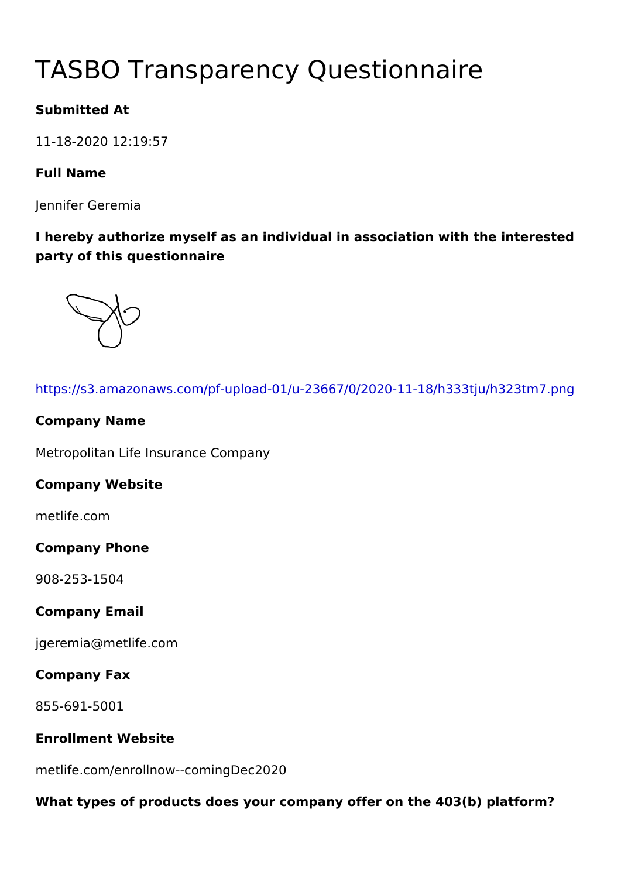# TASBO Transparency Questionna

Submitted At

11-18-2020 12:19:57

Full Name

Jennifer Geremia

I hereby authorize myself as an individual in association with the party of this questionnaire

| https://s3.amazonaws.com/pf-upload-01/u-23667/0/2020-11-18/h33   |
|------------------------------------------------------------------|
| Company Name                                                     |
| Metropolitan Life Insurance Company                              |
| Company Website                                                  |
| metlife.com                                                      |
| Company Phone                                                    |
| $908 - 253 - 1504$                                               |
| Company Email                                                    |
| jgeremia@metlife.com                                             |
| Company Fax                                                      |
| 855-691-5001                                                     |
| Enrollment Website                                               |
| metlife.com/enrollnow--comingDec2020                             |
| What types of products does your company offer on the 403(b) pla |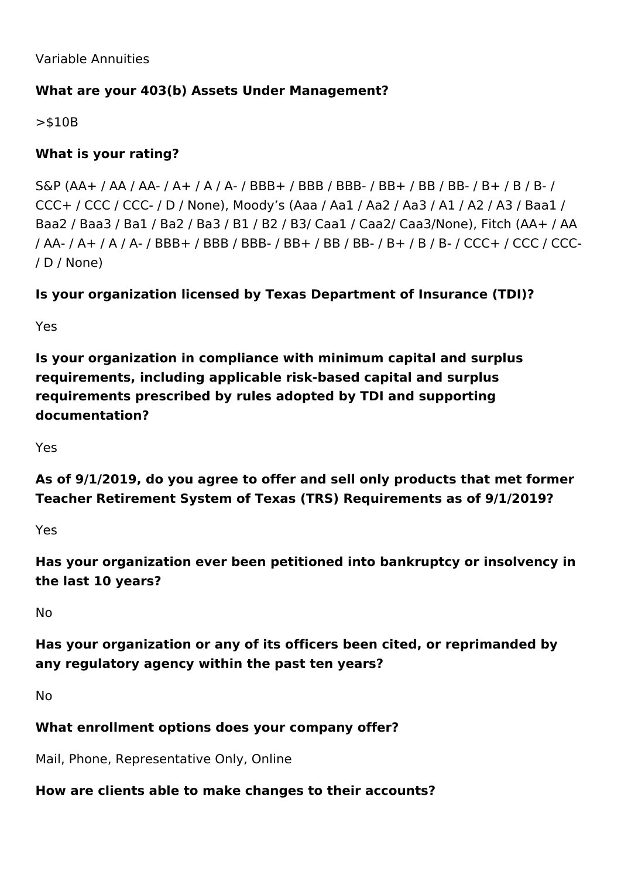Variable Annuities

## **What are your 403(b) Assets Under Management?**

>\$10B

## **What is your rating?**

S&P (AA+ / AA / AA- / A+ / A / A- / BBB+ / BBB / BBB- / BB+ / BB / BB- / B+ / B / B- / CCC+ / CCC / CCC- / D / None), Moody's (Aaa / Aa1 / Aa2 / Aa3 / A1 / A2 / A3 / Baa1 / Baa2 / Baa3 / Ba1 / Ba2 / Ba3 / B1 / B2 / B3/ Caa1 / Caa2/ Caa3/None), Fitch (AA+ / AA / AA- / A+ / A / A- / BBB+ / BBB / BBB- / BB+ / BB / BB- / B+ / B / B- / CCC+ / CCC / CCC- / D / None)

## **Is your organization licensed by Texas Department of Insurance (TDI)?**

Yes

**Is your organization in compliance with minimum capital and surplus requirements, including applicable risk-based capital and surplus requirements prescribed by rules adopted by TDI and supporting documentation?**

Yes

**As of 9/1/2019, do you agree to offer and sell only products that met former Teacher Retirement System of Texas (TRS) Requirements as of 9/1/2019?**

Yes

**Has your organization ever been petitioned into bankruptcy or insolvency in the last 10 years?**

No

**Has your organization or any of its officers been cited, or reprimanded by any regulatory agency within the past ten years?**

No

## **What enrollment options does your company offer?**

Mail, Phone, Representative Only, Online

## **How are clients able to make changes to their accounts?**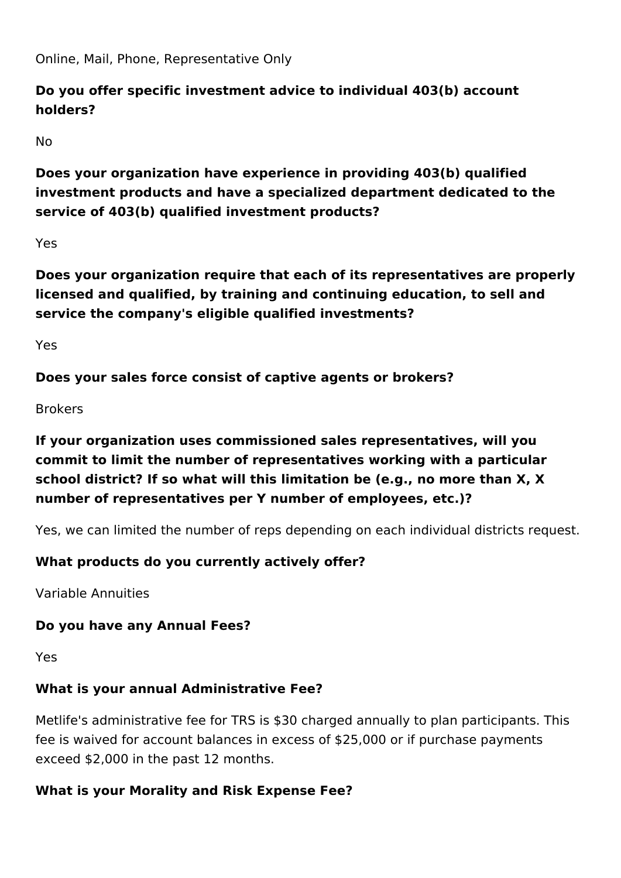Online, Mail, Phone, Representative Only

## **Do you offer specific investment advice to individual 403(b) account holders?**

No

**Does your organization have experience in providing 403(b) qualified investment products and have a specialized department dedicated to the service of 403(b) qualified investment products?**

Yes

**Does your organization require that each of its representatives are properly licensed and qualified, by training and continuing education, to sell and service the company's eligible qualified investments?** 

Yes

**Does your sales force consist of captive agents or brokers?**

Brokers

# **If your organization uses commissioned sales representatives, will you commit to limit the number of representatives working with a particular school district? If so what will this limitation be (e.g., no more than X, X number of representatives per Y number of employees, etc.)?**

Yes, we can limited the number of reps depending on each individual districts request.

## **What products do you currently actively offer?**

Variable Annuities

## **Do you have any Annual Fees?**

Yes

## **What is your annual Administrative Fee?**

Metlife's administrative fee for TRS is \$30 charged annually to plan participants. This fee is waived for account balances in excess of \$25,000 or if purchase payments exceed \$2,000 in the past 12 months.

## **What is your Morality and Risk Expense Fee?**